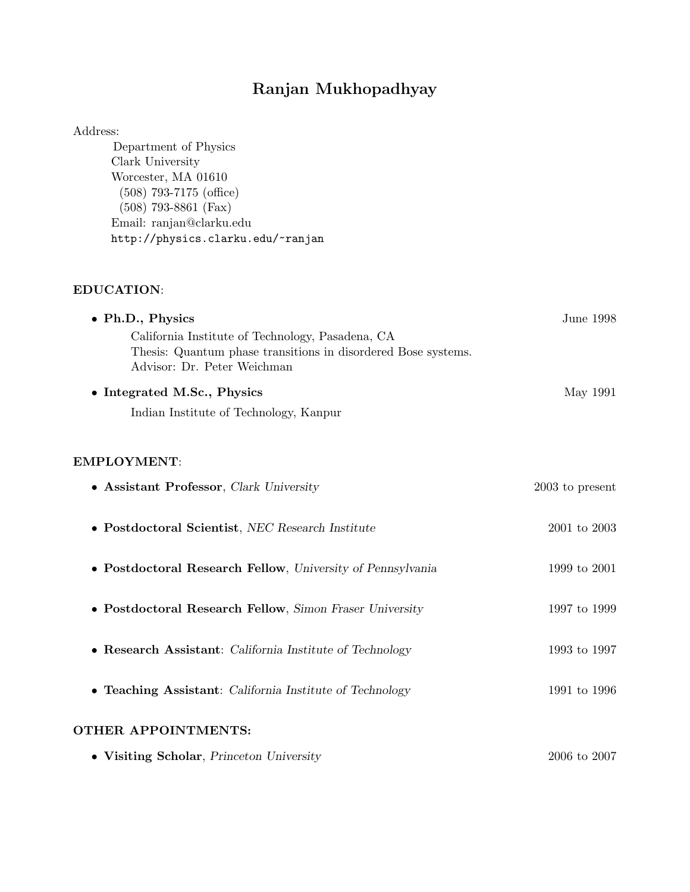# Ranjan Mukhopadhyay

#### Address:

Department of Physics Clark University Worcester, MA 01610 (508) 793-7175 (office) (508) 793-8861 (Fax) Email: ranjan@clarku.edu http://physics.clarku.edu/~ranjan

#### EDUCATION:

| • Ph.D., Physics                                                                                                                                 | June 1998         |
|--------------------------------------------------------------------------------------------------------------------------------------------------|-------------------|
| California Institute of Technology, Pasadena, CA<br>Thesis: Quantum phase transitions in disordered Bose systems.<br>Advisor: Dr. Peter Weichman |                   |
| • Integrated M.Sc., Physics                                                                                                                      | May 1991          |
| Indian Institute of Technology, Kanpur                                                                                                           |                   |
|                                                                                                                                                  |                   |
| <b>EMPLOYMENT:</b>                                                                                                                               |                   |
| • Assistant Professor, Clark University                                                                                                          | $2003$ to present |
|                                                                                                                                                  |                   |
| $\bullet$ Postdoctoral Scientist, NEC Research Institute                                                                                         | $2001$ to $2003$  |
| • Postdoctoral Research Fellow, University of Pennsylvania                                                                                       | 1999 to 2001      |
| • Postdoctoral Research Fellow, Simon Fraser University                                                                                          | 1997 to 1999      |
|                                                                                                                                                  |                   |
| • Research Assistant: California Institute of Technology                                                                                         | 1993 to 1997      |
| • Teaching Assistant: California Institute of Technology                                                                                         | 1991 to 1996      |
| OTHER APPOINTMENTS:                                                                                                                              |                   |
| • Visiting Scholar, Princeton University                                                                                                         | 2006 to 2007      |
|                                                                                                                                                  |                   |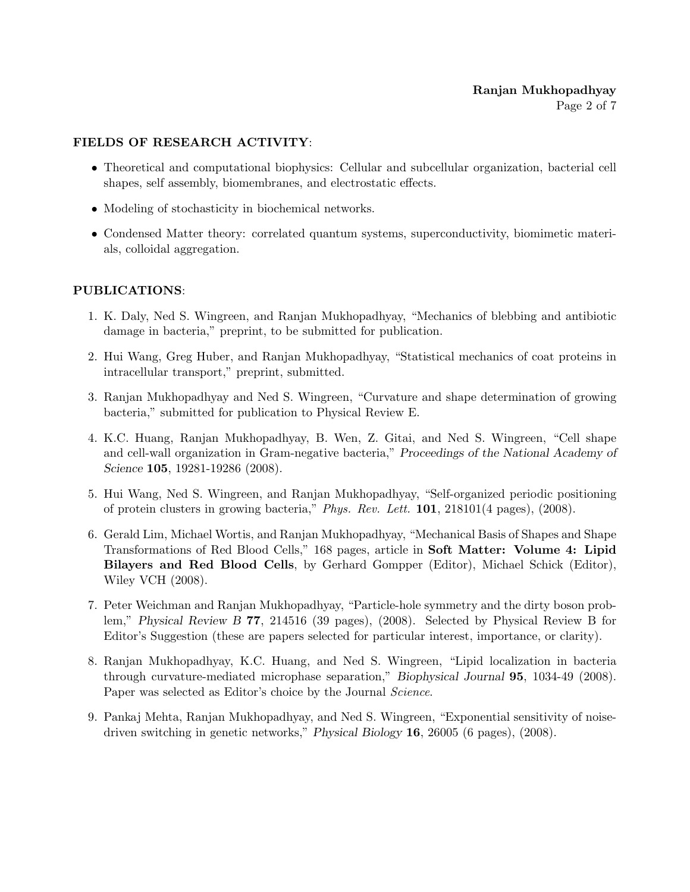## FIELDS OF RESEARCH ACTIVITY:

- Theoretical and computational biophysics: Cellular and subcellular organization, bacterial cell shapes, self assembly, biomembranes, and electrostatic effects.
- Modeling of stochasticity in biochemical networks.
- Condensed Matter theory: correlated quantum systems, superconductivity, biomimetic materials, colloidal aggregation.

## PUBLICATIONS:

- 1. K. Daly, Ned S. Wingreen, and Ranjan Mukhopadhyay, "Mechanics of blebbing and antibiotic damage in bacteria," preprint, to be submitted for publication.
- 2. Hui Wang, Greg Huber, and Ranjan Mukhopadhyay, "Statistical mechanics of coat proteins in intracellular transport," preprint, submitted.
- 3. Ranjan Mukhopadhyay and Ned S. Wingreen, "Curvature and shape determination of growing bacteria," submitted for publication to Physical Review E.
- 4. K.C. Huang, Ranjan Mukhopadhyay, B. Wen, Z. Gitai, and Ned S. Wingreen, "Cell shape and cell-wall organization in Gram-negative bacteria," Proceedings of the National Academy of Science **105**, 19281-19286 (2008).
- 5. Hui Wang, Ned S. Wingreen, and Ranjan Mukhopadhyay, "Self-organized periodic positioning of protein clusters in growing bacteria," Phys. Rev. Lett. 101, 218101(4 pages), (2008).
- 6. Gerald Lim, Michael Wortis, and Ranjan Mukhopadhyay, "Mechanical Basis of Shapes and Shape Transformations of Red Blood Cells," 168 pages, article in Soft Matter: Volume 4: Lipid Bilayers and Red Blood Cells, by Gerhard Gompper (Editor), Michael Schick (Editor), Wiley VCH (2008).
- 7. Peter Weichman and Ranjan Mukhopadhyay, "Particle-hole symmetry and the dirty boson problem," Physical Review B 77, 214516 (39 pages), (2008). Selected by Physical Review B for Editor's Suggestion (these are papers selected for particular interest, importance, or clarity).
- 8. Ranjan Mukhopadhyay, K.C. Huang, and Ned S. Wingreen, "Lipid localization in bacteria through curvature-mediated microphase separation," Biophysical Journal 95, 1034-49 (2008). Paper was selected as Editor's choice by the Journal Science.
- 9. Pankaj Mehta, Ranjan Mukhopadhyay, and Ned S. Wingreen, "Exponential sensitivity of noisedriven switching in genetic networks," Physical Biology 16, 26005 (6 pages), (2008).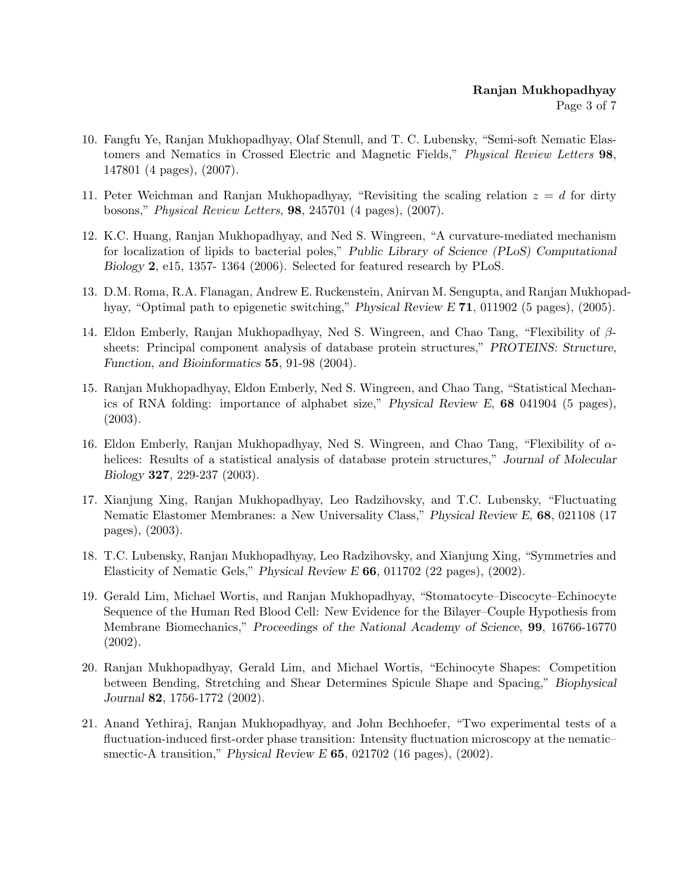- 10. Fangfu Ye, Ranjan Mukhopadhyay, Olaf Stenull, and T. C. Lubensky, "Semi-soft Nematic Elastomers and Nematics in Crossed Electric and Magnetic Fields," Physical Review Letters 98, 147801 (4 pages), (2007).
- 11. Peter Weichman and Ranjan Mukhopadhyay, "Revisiting the scaling relation  $z = d$  for dirty bosons," Physical Review Letters, 98, 245701 (4 pages), (2007).
- 12. K.C. Huang, Ranjan Mukhopadhyay, and Ned S. Wingreen, "A curvature-mediated mechanism for localization of lipids to bacterial poles," Public Library of Science (PLoS) Computational Biology 2, e15, 1357- 1364 (2006). Selected for featured research by PLoS.
- 13. D.M. Roma, R.A. Flanagan, Andrew E. Ruckenstein, Anirvan M. Sengupta, and Ranjan Mukhopadhyay, "Optimal path to epigenetic switching," Physical Review E 71, 011902 (5 pages), (2005).
- 14. Eldon Emberly, Ranjan Mukhopadhyay, Ned S. Wingreen, and Chao Tang, "Flexibility of βsheets: Principal component analysis of database protein structures," PROTEINS: Structure, Function, and Bioinformatics 55, 91-98 (2004).
- 15. Ranjan Mukhopadhyay, Eldon Emberly, Ned S. Wingreen, and Chao Tang, "Statistical Mechanics of RNA folding: importance of alphabet size," Physical Review E, 68 041904 (5 pages), (2003).
- 16. Eldon Emberly, Ranjan Mukhopadhyay, Ned S. Wingreen, and Chao Tang, "Flexibility of αhelices: Results of a statistical analysis of database protein structures," Journal of Molecular Biology 327, 229-237 (2003).
- 17. Xianjung Xing, Ranjan Mukhopadhyay, Leo Radzihovsky, and T.C. Lubensky, "Fluctuating Nematic Elastomer Membranes: a New Universality Class," Physical Review E, 68, 021108 (17 pages), (2003).
- 18. T.C. Lubensky, Ranjan Mukhopadhyay, Leo Radzihovsky, and Xianjung Xing, "Symmetries and Elasticity of Nematic Gels," Physical Review E 66, 011702 (22 pages), (2002).
- 19. Gerald Lim, Michael Wortis, and Ranjan Mukhopadhyay, "Stomatocyte–Discocyte–Echinocyte Sequence of the Human Red Blood Cell: New Evidence for the Bilayer–Couple Hypothesis from Membrane Biomechanics," Proceedings of the National Academy of Science, 99, 16766-16770 (2002).
- 20. Ranjan Mukhopadhyay, Gerald Lim, and Michael Wortis, "Echinocyte Shapes: Competition between Bending, Stretching and Shear Determines Spicule Shape and Spacing," Biophysical Journal 82, 1756-1772 (2002).
- 21. Anand Yethiraj, Ranjan Mukhopadhyay, and John Bechhoefer, "Two experimental tests of a fluctuation-induced first-order phase transition: Intensity fluctuation microscopy at the nematic– smectic-A transition," Physical Review E 65, 021702 (16 pages), (2002).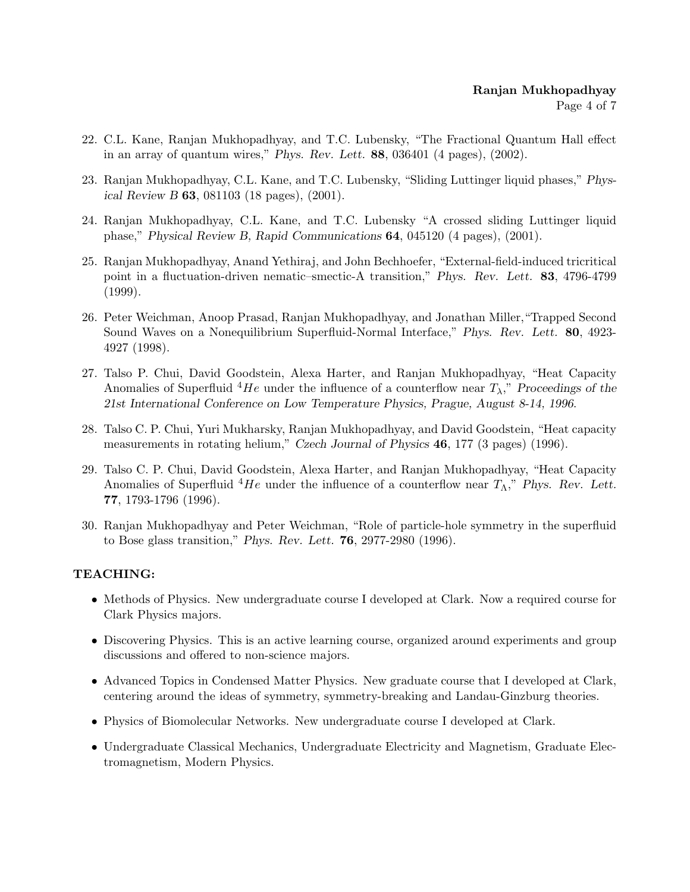- 22. C.L. Kane, Ranjan Mukhopadhyay, and T.C. Lubensky, "The Fractional Quantum Hall effect in an array of quantum wires," Phys. Rev. Lett. 88, 036401 (4 pages), (2002).
- 23. Ranjan Mukhopadhyay, C.L. Kane, and T.C. Lubensky, "Sliding Luttinger liquid phases," Physical Review B 63, 081103 (18 pages), (2001).
- 24. Ranjan Mukhopadhyay, C.L. Kane, and T.C. Lubensky "A crossed sliding Luttinger liquid phase," Physical Review B, Rapid Communications 64, 045120 (4 pages), (2001).
- 25. Ranjan Mukhopadhyay, Anand Yethiraj, and John Bechhoefer, "External-field-induced tricritical point in a fluctuation-driven nematic–smectic-A transition," Phys. Rev. Lett. 83, 4796-4799 (1999).
- 26. Peter Weichman, Anoop Prasad, Ranjan Mukhopadhyay, and Jonathan Miller,"Trapped Second Sound Waves on a Nonequilibrium Superfluid-Normal Interface," Phys. Rev. Lett. 80, 4923- 4927 (1998).
- 27. Talso P. Chui, David Goodstein, Alexa Harter, and Ranjan Mukhopadhyay, "Heat Capacity Anomalies of Superfluid  ${}^{4}He$  under the influence of a counterflow near  $T_{\lambda}$ ," Proceedings of the 21st International Conference on Low Temperature Physics, Prague, August 8-14, 1996.
- 28. Talso C. P. Chui, Yuri Mukharsky, Ranjan Mukhopadhyay, and David Goodstein, "Heat capacity measurements in rotating helium," Czech Journal of Physics 46, 177 (3 pages) (1996).
- 29. Talso C. P. Chui, David Goodstein, Alexa Harter, and Ranjan Mukhopadhyay, "Heat Capacity Anomalies of Superfluid  ${}^{4}He$  under the influence of a counterflow near  $T_{\Lambda}$ ," Phys. Rev. Lett. 77, 1793-1796 (1996).
- 30. Ranjan Mukhopadhyay and Peter Weichman, "Role of particle-hole symmetry in the superfluid to Bose glass transition," Phys. Rev. Lett. 76, 2977-2980 (1996).

# TEACHING:

- Methods of Physics. New undergraduate course I developed at Clark. Now a required course for Clark Physics majors.
- Discovering Physics. This is an active learning course, organized around experiments and group discussions and offered to non-science majors.
- Advanced Topics in Condensed Matter Physics. New graduate course that I developed at Clark, centering around the ideas of symmetry, symmetry-breaking and Landau-Ginzburg theories.
- Physics of Biomolecular Networks. New undergraduate course I developed at Clark.
- Undergraduate Classical Mechanics, Undergraduate Electricity and Magnetism, Graduate Electromagnetism, Modern Physics.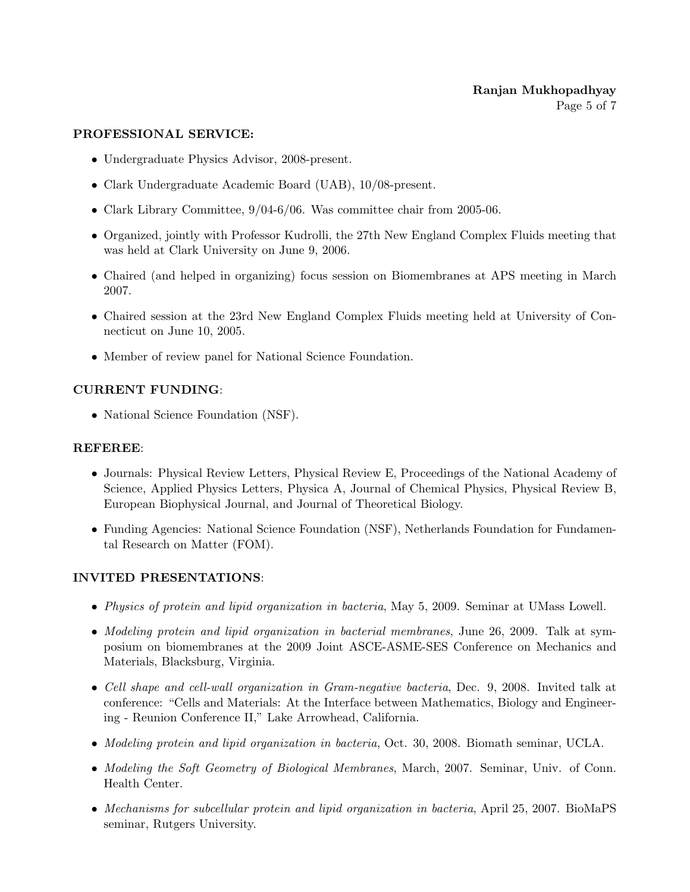#### PROFESSIONAL SERVICE:

- Undergraduate Physics Advisor, 2008-present.
- Clark Undergraduate Academic Board (UAB), 10/08-present.
- Clark Library Committee,  $9/04-6/06$ . Was committee chair from 2005-06.
- Organized, jointly with Professor Kudrolli, the 27th New England Complex Fluids meeting that was held at Clark University on June 9, 2006.
- Chaired (and helped in organizing) focus session on Biomembranes at APS meeting in March 2007.
- Chaired session at the 23rd New England Complex Fluids meeting held at University of Connecticut on June 10, 2005.
- Member of review panel for National Science Foundation.

## CURRENT FUNDING:

• National Science Foundation (NSF).

#### REFEREE:

- Journals: Physical Review Letters, Physical Review E, Proceedings of the National Academy of Science, Applied Physics Letters, Physica A, Journal of Chemical Physics, Physical Review B, European Biophysical Journal, and Journal of Theoretical Biology.
- Funding Agencies: National Science Foundation (NSF), Netherlands Foundation for Fundamental Research on Matter (FOM).

#### INVITED PRESENTATIONS:

- Physics of protein and lipid organization in bacteria, May 5, 2009. Seminar at UMass Lowell.
- Modeling protein and lipid organization in bacterial membranes, June 26, 2009. Talk at symposium on biomembranes at the 2009 Joint ASCE-ASME-SES Conference on Mechanics and Materials, Blacksburg, Virginia.
- Cell shape and cell-wall organization in Gram-negative bacteria, Dec. 9, 2008. Invited talk at conference: "Cells and Materials: At the Interface between Mathematics, Biology and Engineering - Reunion Conference II," Lake Arrowhead, California.
- Modeling protein and lipid organization in bacteria, Oct. 30, 2008. Biomath seminar, UCLA.
- Modeling the Soft Geometry of Biological Membranes, March, 2007. Seminar, Univ. of Conn. Health Center.
- Mechanisms for subcellular protein and lipid organization in bacteria, April 25, 2007. BioMaPS seminar, Rutgers University.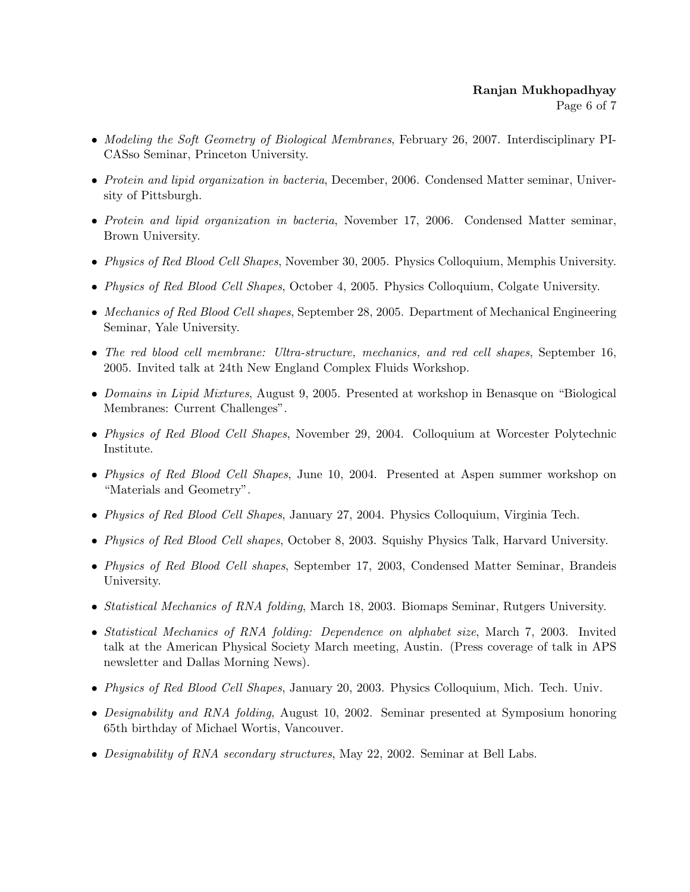- Modeling the Soft Geometry of Biological Membranes, February 26, 2007. Interdisciplinary PI-CASso Seminar, Princeton University.
- Protein and lipid organization in bacteria, December, 2006. Condensed Matter seminar, University of Pittsburgh.
- Protein and lipid organization in bacteria, November 17, 2006. Condensed Matter seminar, Brown University.
- Physics of Red Blood Cell Shapes, November 30, 2005. Physics Colloquium, Memphis University.
- Physics of Red Blood Cell Shapes, October 4, 2005. Physics Colloquium, Colgate University.
- Mechanics of Red Blood Cell shapes, September 28, 2005. Department of Mechanical Engineering Seminar, Yale University.
- The red blood cell membrane: Ultra-structure, mechanics, and red cell shapes, September 16, 2005. Invited talk at 24th New England Complex Fluids Workshop.
- Domains in Lipid Mixtures, August 9, 2005. Presented at workshop in Benasque on "Biological Membranes: Current Challenges".
- Physics of Red Blood Cell Shapes, November 29, 2004. Colloquium at Worcester Polytechnic Institute.
- Physics of Red Blood Cell Shapes, June 10, 2004. Presented at Aspen summer workshop on "Materials and Geometry".
- Physics of Red Blood Cell Shapes, January 27, 2004. Physics Colloquium, Virginia Tech.
- Physics of Red Blood Cell shapes, October 8, 2003. Squishy Physics Talk, Harvard University.
- Physics of Red Blood Cell shapes, September 17, 2003, Condensed Matter Seminar, Brandeis University.
- *Statistical Mechanics of RNA folding*, March 18, 2003. Biomaps Seminar, Rutgers University.
- Statistical Mechanics of RNA folding: Dependence on alphabet size, March 7, 2003. Invited talk at the American Physical Society March meeting, Austin. (Press coverage of talk in APS newsletter and Dallas Morning News).
- Physics of Red Blood Cell Shapes, January 20, 2003. Physics Colloquium, Mich. Tech. Univ.
- Designability and RNA folding, August 10, 2002. Seminar presented at Symposium honoring 65th birthday of Michael Wortis, Vancouver.
- Designability of RNA secondary structures, May 22, 2002. Seminar at Bell Labs.